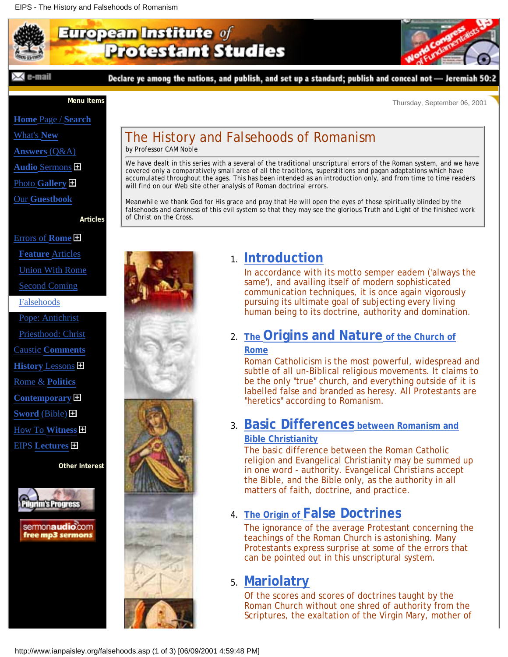# <span id="page-0-0"></span>European Institute of **Protestant Studies**



Declare ye among the nations, and publish, and set up a standard; publish and conceal not - Jeremiah 50:2



**Menu Items**

Thursday, September 06, 2001

**Home** [Page /](http://www.ianpaisley.org/main.asp) **Search**

[What's](http://www.ianpaisley.org/new.asp) **New**

**[Answers](http://www.ianpaisley.org/answers.asp)** (Q&A)

**Audio** [Sermons](http://www.ianpaisley.org/exhort.asp)

Photo **[Gallery](http://www.ianpaisley.org/gallery_50.asp)**

Our **[Guestbook](http://www.ianpaisley.org/guest.asp)**

**Articles**

# [Errors of](http://www.ianpaisley.org/rome.asp) **Rome**

- **[Feature](http://www.ianpaisley.org/rome.asp)** Articles [Union With Rome](http://www.ianpaisley.org/union.asp)
- [Second Coming](http://www.ianpaisley.org/secondcoming.asp)

#### [Falsehoods](#page-0-0)

[Pope: Antichrist](http://www.ianpaisley.org/antichrist.asp) [Priesthood: Christ](http://www.ianpaisley.org/atherton.asp) Caustic **[Comments](http://www.ianpaisley.org/comments.asp) History** [Lessons](http://www.ianpaisley.org/historical.asp) [Rome &](http://www.ianpaisley.org/politics.asp) **Politics [Contemporary](http://www.ianpaisley.org/contemp.asp) Sword** [\(Bible\)](http://www.ianpaisley.org/sword.asp) [How To](http://www.ianpaisley.org/witness.asp) **Witness** EIPS **[Lectures](http://www.ianpaisley.org/lectures.asp)**

**Other Interest**



sermonaudio.com free mp3 sermons

# The History and Falsehoods of Romanism

by Professor CAM Noble

We have dealt in this series with a several of the traditional unscriptural errors of the Roman system, and we have covered only a comparatively small area of all the traditions, superstitions and pagan adaptations which have accumulated throughout the ages. This has been intended as an introduction only, and from time to time readers will find on our Web site other analysis of Roman doctrinal errors.

Meanwhile we thank God for His grace and pray that He will open the eyes of those spiritually blinded by the falsehoods and darkness of this evil system so that they may see the glorious Truth and Light of the finished work of Christ on the Cross.



# **[Introduction](http://www.ianpaisley.org/rome.asp?rome_intro.htm)** 1.

In accordance with its motto semper eadem ('always the same'), and availing itself of modern sophisticated communication techniques, it is once again vigorously pursuing its ultimate goal of subjecting every living human being to its doctrine, authority and domination.

# 2. The **Origins and Nature** of the Church of

#### **[Rome](http://www.ianpaisley.org/rome.asp?rome_origins.htm)**

Roman Catholicism is the most powerful, widespread and subtle of all un-Biblical religious movements. It claims to be the only "true" church, and everything outside of it is labelled false and branded as heresy. All Protestants are "heretics" according to Romanism.

#### **[Basic Differences between Romanism and](http://www.ianpaisley.org/rome.asp?rome_diffs.htm)** 3. **[Bible Christianity](http://www.ianpaisley.org/rome.asp?rome_diffs.htm)**

The basic difference between the Roman Catholic religion and Evangelical Christianity may be summed up in one word - authority. Evangelical Christians accept the Bible, and the Bible only, as the authority in all matters of faith, doctrine, and practice.

## **[The Origin of False Doctrines](http://www.ianpaisley.org/rome.asp?rome_origin_doctrines.htm)** 4.

The ignorance of the average Protestant concerning the teachings of the Roman Church is astonishing. Many Protestants express surprise at some of the errors that can be pointed out in this unscriptural system.

## **[Mariolatry](http://www.ianpaisley.org/rome.asp?rome_mary.htm)** 5.

Of the scores and scores of doctrines taught by the Roman Church without one shred of authority from the Scriptures, the exaltation of the Virgin Mary, mother of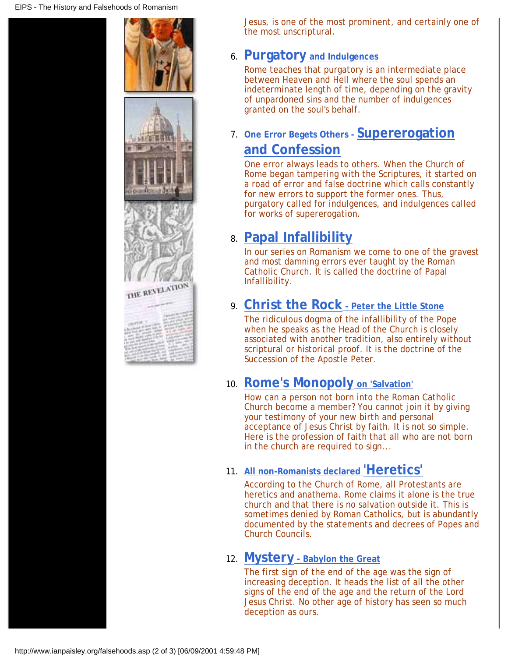

Jesus, is one of the most prominent, and certainly one of the most unscriptural.

#### **[Purgatory and Indulgences](http://www.ianpaisley.org/rome.asp?rome_purgatory.htm)** 6.

Rome teaches that purgatory is an intermediate place between Heaven and Hell where the soul spends an indeterminate length of time, depending on the gravity of unpardoned sins and the number of indulgences granted on the soul's behalf.

#### **[One Error Begets Others - Supererogation](http://www.ianpaisley.org/rome.asp?rome_errors.htm)** 7. **[and Confession](http://www.ianpaisley.org/rome.asp?rome_errors.htm)**

One error always leads to others. When the Church of Rome began tampering with the Scriptures, it started on a road of error and false doctrine which calls constantly for new errors to support the former ones. Thus, purgatory called for indulgences, and indulgences called for works of supererogation.

# **[Papal Infallibility](http://www.ianpaisley.org/rome.asp?rome_pope.htm)** 8.

In our series on Romanism we come to one of the gravest and most damning errors ever taught by the Roman Catholic Church. It is called the doctrine of Papal Infallibility.

### **[Christ the Rock - Peter the Little Stone](http://www.ianpaisley.org/rome.asp?rome_peter.htm)** 9.

The ridiculous dogma of the infallibility of the Pope when he speaks as the Head of the Church is closely associated with another tradition, also entirely without scriptural or historical proof. It is the doctrine of the Succession of the Apostle Peter.

#### 10. [Rome's Monopoly on 'Salvation'](http://www.ianpaisley.org/rome.asp?rome_monopoly.htm)

How can a person not born into the Roman Catholic Church become a member? You cannot join it by giving your testimony of your new birth and personal acceptance of Jesus Christ by faith. It is not so simple. Here is the profession of faith that all who are not born in the church are required to sign...

#### **[All non-Romanists declared](http://www.ianpaisley.org/rome.asp?rome_heretics.htm) 'Heretics'** 11.

According to the Church of Rome, all Protestants are heretics and anathema. Rome claims it alone is the true church and that there is no salvation outside it. This is sometimes denied by Roman Catholics, but is abundantly documented by the statements and decrees of Popes and Church Councils.

#### **[Mystery - Babylon the Great](http://www.ianpaisley.org/rome.asp?rome_mystery.htm)** 12.

The first sign of the end of the age was the sign of increasing deception. It heads the list of all the other signs of the end of the age and the return of the Lord Jesus Christ. No other age of history has seen so much deception as ours.